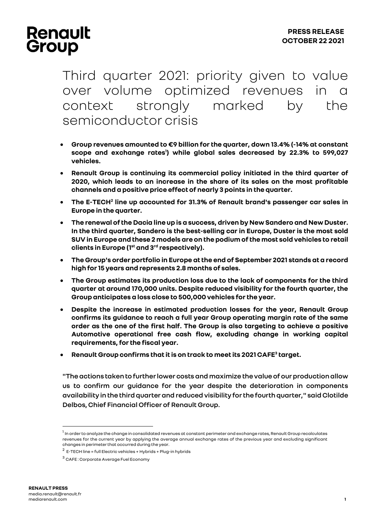## **Renault** Group

Third quarter 2021: priority given to value over volume optimized revenues in a context strongly marked by the semiconductor crisis

- **Group revenues amounted to €9 billion for the quarter, down 13.4% (-14% at constant scope and exchange rates<sup>1</sup> ) while global sales decreased by 22.3% to 599,027 vehicles.**
- **Renault Group is continuing its commercial policy initiated in the third quarter of 2020, which leads to an increase in the share of its sales on the most profitable channels and a positive price effect of nearly 3 points in the quarter.**
- **The E-TECH<sup>2</sup> line up accounted for 31.3% of Renault brand's passenger car sales in Europe in the quarter.**
- **The renewal of the Dacia line up is a success, driven by New Sandero and New Duster. In the third quarter, Sandero is the best-selling car in Europe, Duster is the most sold SUV in Europe and these 2 models are on the podium of the most sold vehicles to retail clients in Europe (1st and 3rd respectively).**
- **The Group's order portfolio in Europe at the end of September 2021 stands at a record high for 15 years and represents 2.8 months of sales.**
- **The Group estimates its production loss due to the lack of components for the third quarter at around 170,000 units. Despite reduced visibility for the fourth quarter, the Group anticipates a loss close to 500,000vehicles for the year.**
- **Despite the increase in estimated production losses for the year, Renault Group confirms its guidance to reach a full year Group operating margin rate of the same order as the one of the first half. The Group is also targeting to achieve a positive Automotive operational free cash flow, excluding change in working capital requirements,for the fiscal year.**
- **Renault Group confirms that it is on track to meetits 2021 CAFE<sup>3</sup> target.**

**"The actions taken to further lower costs and maximize the value of our production allow us to confirm our guidance for the year despite the deterioration in components availability in the third quarter and reduced visibility for the fourth quarter," said Clotilde Delbos, Chief Financial Officer of Renault Group.**

<sup>&</sup>lt;sup>1</sup> In order to analyze the change in consolidated revenues at constant perimeter and exchange rates, Renault Group recalculates revenues for the current year by applying the average annual exchange rates of the previous year and excluding significant changes in perimeter that occurred during the year.

 $^2$  E-TECH line = full Electric vehicles + Hybrids + Plug-in hybrids

<sup>3</sup> CAFE : Corporate Average Fuel Economy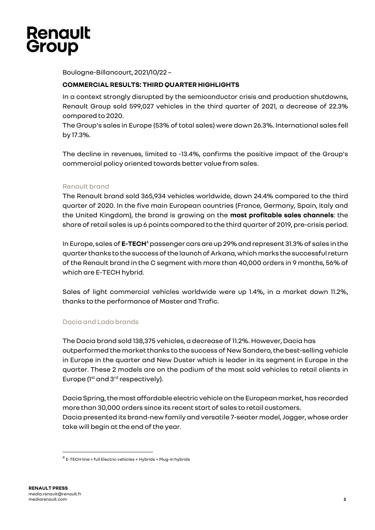

Boulogne-Billancourt, 2021/10/22 –

### **COMMERCIAL RESULTS: THIRD QUARTER HIGHLIGHTS**

In a context strongly disrupted by the semiconductor crisis and production shutdowns, Renault Group sold 599,027 vehicles in the third quarter of 2021, a decrease of 22.3% compared to 2020.

The Group's sales in Europe (53% of total sales) were down 26.3%. International sales fell by 17.3%.

The decline in revenues, limited to -13.4%, confirms the positive impact of the Group's commercial policy oriented towards better value from sales.

### Renault brand

The Renault brand sold 365,934 vehicles worldwide, down 24.4% compared to the third quarter of 2020. In the five main European countries (France, Germany, Spain, Italy and the United Kingdom), the brand is growing on the **most profitable sales channels**: the share of retail sales is up 6 points compared to the third quarter of 2019, pre-crisis period.

In Europe, sales of E-TECH<sup>4</sup> passenger cars are up 29% and represent 31.3% of sales in the quarter thanks to thesuccess of the launchofArkana, whichmarks the successful return of the Renault brand in the C segment with more than 40,000 orders in 9 months, 56% of which are E-TECH hybrid.

Sales of light commercial vehicles worldwide were up 1.4%, in a market down 11.2%, thanks to the performance of Master and Trafic.

### Dacia and Lada brands

The Dacia brand sold 138,375 vehicles, a decrease of 11.2%. However, Dacia has outperformed the market thanks to the success of New Sandero, the best-selling vehicle in Europe in the quarter and New Duster which is leader in its segment in Europe in the quarter. These 2 models are on the podium of the most sold vehicles to retail clients in Europe ( $1<sup>st</sup>$  and  $3<sup>rd</sup>$  respectively).

Dacia Spring, the most affordable electric vehicle on the European market, has recorded more than 30,000 orders since its recent start of sales to retail customers. Dacia presented its brand-new family and versatile 7-seater model, Jogger, whose order take will begin at the end of the year.

<sup>4</sup> E-TECH line = full Electric vehicles + Hybrids + Plug-in hybrids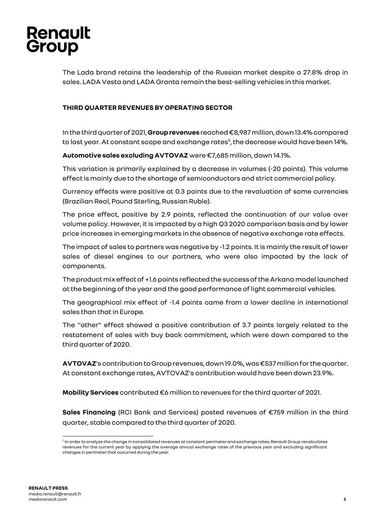# **Renault** Group

The Lada brand retains the leadership of the Russian market despite a 27.8% drop in sales. LADA Vesta and LADA Granta remain the best-selling vehicles in this market.

### **THIRD QUARTER REVENUES BY OPERATING SECTOR**

In the thirdquarter of 2021, **Group revenues** reached €8,987 million, down 13.4% compared to last year. At constant scope and exchange rates<sup>5</sup>, the decrease would have been 14%.

**Automotive sales excluding AVTOVAZ** were €7,685 million, down 14.1%.

This variation is primarily explained by a decrease in volumes (-20 points). This volume effectis mainly due to the shortage of semiconductors and strict commercial policy.

Currency effects were positive at 0.3 points due to the revaluation of some currencies (Brazilian Real, Pound Sterling, Russian Ruble).

The price effect, positive by 2.9 points, reflected the continuation of our value over volume policy. However, it is impacted by a high Q3 2020 comparison basis and by lower price increases in emerging markets in the absence of negative exchange rate effects.

The impact of sales to partners was negative by -1.2 points. It is mainly the result of lower sales of diesel engines to our partners, who were also impacted by the lack of components.

The product mix effect of +1.6 points reflected the success of the Arkana model launched at the beginning of the year and the good performance oflight commercial vehicles.

The geographical mix effect of -1.4 points came from a lower decline in international sales than that in Europe.

The "other" effect showed a positive contribution of 3.7 points largely related to the restatement of sales with buy back commitment, which were down compared to the third quarter of 2020.

**AVTOVAZ**'s contribution to Group revenues, down 19.0%, was €537 million for the quarter. At constant exchange rates, AVTOVAZ's contribution would have been down 23.9%.

**Mobility Services** contributed €6 million to revenues for the third quarter of 2021.

**Sales Financing** (RCI Bank and Services) posted revenues of €759 million in the third quarter, stable compared to the third quarter of 2020.

 $^{\rm 5}$  In order to analyze the change in consolidated revenues at constant perimeter and exchange rates, Renault Group recalculates revenues for the current year by applying the average annual exchange rates of the previous year and excluding significant changes in perimeter that occurred during the year.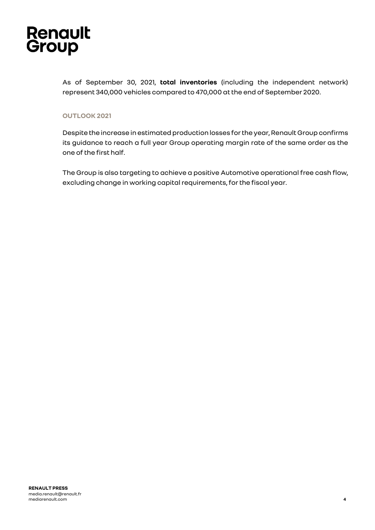

As of September 30, 2021, **total inventories** (including the independent network) represent 340,000 vehicles compared to 470,000 at the end of September 2020.

### **OUTLOOK2021**

Despite the increase in estimated production losses for the year, Renault Group confirms its guidance to reach a full year Group operating margin rate of the same order as the one of the first half.

The Group is also targeting to achieve a positive Automotive operational free cash flow, excluding change in working capital requirements, for the fiscal year.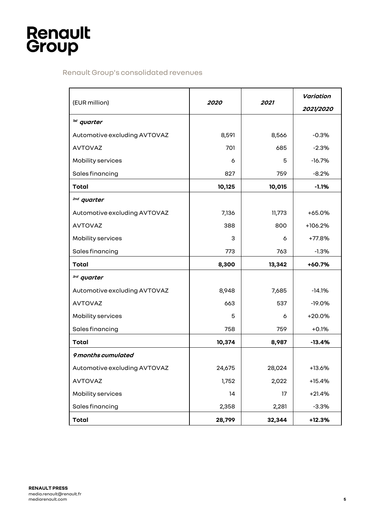# **Renault**<br>Group

## Renault Group's consolidated revenues

| (EUR million)                | 2020   | 2021   | Variation<br>2021/2020 |
|------------------------------|--------|--------|------------------------|
| <sup>1st</sup> quarter       |        |        |                        |
| Automotive excluding AVTOVAZ | 8,591  | 8,566  | $-0.3%$                |
| <b>AVTOVAZ</b>               | 701    | 685    | $-2.3%$                |
| Mobility services            | 6      | 5      | $-16.7%$               |
| Sales financing              | 827    | 759    | $-8.2%$                |
| <b>Total</b>                 | 10,125 | 10,015 | $-1.1%$                |
| <sup>2nd</sup> quarter       |        |        |                        |
| Automotive excluding AVTOVAZ | 7,136  | 11,773 | $+65.0%$               |
| <b>AVTOVAZ</b>               | 388    | 800    | +106.2%                |
| Mobility services            | 3      | 6      | +77.8%                 |
| Sales financing              | 773    | 763    | $-1.3%$                |
| Total                        | 8,300  | 13,342 | +60.7%                 |
| <sup>3rd</sup> quarter       |        |        |                        |
| Automotive excluding AVTOVAZ | 8,948  | 7,685  | $-14.1%$               |
| <b>AVTOVAZ</b>               | 663    | 537    | $-19.0%$               |
| Mobility services            | 5      | 6      | $+20.0%$               |
| Sales financing              | 758    | 759    | $+0.1%$                |
| <b>Total</b>                 | 10,374 | 8,987  | $-13.4%$               |
| 9 months cumulated           |        |        |                        |
| Automotive excluding AVTOVAZ | 24,675 | 28,024 | $+13.6%$               |
| <b>AVTOVAZ</b>               | 1,752  | 2,022  | $+15.4%$               |
| Mobility services            | 14     | 17     | $+21.4%$               |
| Sales financing              | 2,358  | 2,281  | $-3.3%$                |
| <b>Total</b>                 | 28,799 | 32,344 | $+12.3%$               |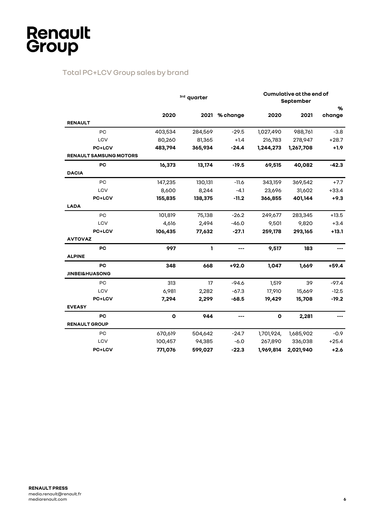## Total PC+LCV Group sales by brand

|                               | <sup>3rd</sup> quarter |         | Cumulative at the end of<br>September |             |           |         |
|-------------------------------|------------------------|---------|---------------------------------------|-------------|-----------|---------|
|                               |                        |         |                                       |             |           | %       |
|                               | 2020                   | 2021    | % change                              | 2020        | 2021      | change  |
| <b>RENAULT</b>                |                        |         |                                       |             |           |         |
| PC                            | 403,534                | 284,569 | $-29.5$                               | 1,027,490   | 988,761   | $-3.8$  |
| LCV                           | 80,260                 | 81,365  | $+1.4$                                | 216,783     | 278,947   | $+28.7$ |
| PC+LCV                        | 483,794                | 365,934 | $-24.4$                               | 1,244,273   | 1,267,708 | $+1.9$  |
| <b>RENAULT SAMSUNG MOTORS</b> |                        |         |                                       |             |           |         |
| PC                            | 16,373                 | 13,174  | $-19.5$                               | 69,515      | 40,082    | $-42.3$ |
| <b>DACIA</b>                  |                        |         |                                       |             |           |         |
| PC                            | 147,235                | 130,131 | $-11.6$                               | 343,159     | 369,542   | $+7.7$  |
| LCV                           | 8,600                  | 8,244   | $-4.1$                                | 23,696      | 31,602    | $+33.4$ |
| <b>PC+LCV</b>                 | 155,835                | 138,375 | $-11.2$                               | 366,855     | 401,144   | $+9.3$  |
| <b>LADA</b>                   |                        |         |                                       |             |           |         |
| PC                            | 101,819                | 75,138  | $-26.2$                               | 249,677     | 283,345   | $+13.5$ |
| LCV                           | 4,616                  | 2,494   | $-46.0$                               | 9,501       | 9,820     | $+3.4$  |
| PC+LCV                        | 106,435                | 77,632  | $-27.1$                               | 259,178     | 293,165   | $+13.1$ |
| <b>AVTOVAZ</b>                |                        |         |                                       |             |           |         |
| PC                            | 997                    | 1       | ---                                   | 9,517       | 183       |         |
| <b>ALPINE</b>                 |                        |         |                                       |             |           |         |
| PС                            | 348                    | 668     | $+92.0$                               | 1,047       | 1,669     | $+59.4$ |
| <b>JINBEI&amp;HUASONG</b>     |                        |         |                                       |             |           |         |
| PC                            | 313                    | 17      | $-94.6$                               | 1,519       | 39        | $-97.4$ |
| LCV                           | 6,981                  | 2,282   | $-67.3$                               | 17,910      | 15,669    | $-12.5$ |
| PC+LCV                        | 7,294                  | 2,299   | $-68.5$                               | 19,429      | 15,708    | $-19.2$ |
| <b>EVEASY</b>                 |                        |         |                                       |             |           |         |
| PC                            | $\mathbf 0$            | 944     | ---                                   | $\mathbf 0$ | 2,281     |         |
| <b>RENAULT GROUP</b>          |                        |         |                                       |             |           |         |
| PC                            | 670,619                | 504,642 | $-24.7$                               | 1,701,924,  | 1,685,902 | $-0.9$  |
| LCV                           | 100,457                | 94,385  | $-6.0$                                | 267,890     | 336,038   | $+25.4$ |
| PC+LCV                        | 771,076                | 599,027 | $-22.3$                               | 1,969,814   | 2,021,940 | $+2.6$  |
|                               |                        |         |                                       |             |           |         |